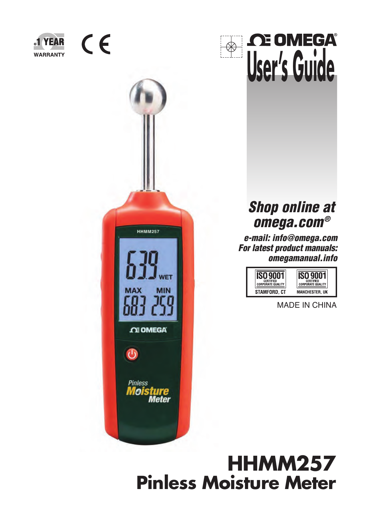

**HHMM257** 

**CE OMEGA** 

**MAX** 

 $\overline{\mathbf{C}}$ 

**Pinless** *Moisture*<br>Meter

**NET** 

**MIN** 



## *Shop online at omega.com®*

*e-mail: info@omega.com For latest product manuals: omegamanual.info*



MADE IN CHINA

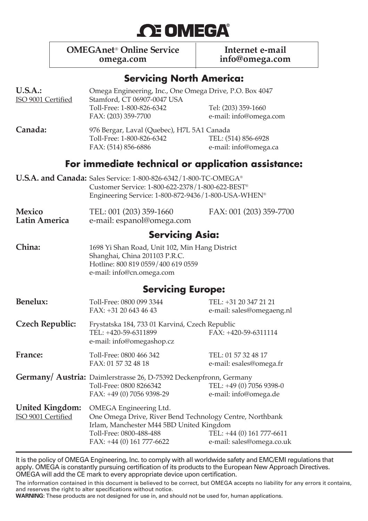# **OE OMEGA®**

**OMEGAnet<sup>®</sup> Online Service Internet e-mail<br>
omega.com**<br> **Info@omega.com**<br> **Info@omega.com** 

**omega.com info@omega.com**

#### **Servicing North America:**

| U.S.A.:<br>ISO 9001 Certified                      | Omega Engineering, Inc., One Omega Drive, P.O. Box 4047<br>Stamford, CT 06907-0047 USA<br>Toll-Free: 1-800-826-6342<br>FAX: (203) 359-7700                                                                                                      | Tel: (203) 359-1660<br>e-mail: info@omega.com      |  |  |  |
|----------------------------------------------------|-------------------------------------------------------------------------------------------------------------------------------------------------------------------------------------------------------------------------------------------------|----------------------------------------------------|--|--|--|
| Canada:                                            | 976 Bergar, Laval (Quebec), H7L 5A1 Canada<br>Toll-Free: 1-800-826-6342<br>FAX: (514) 856-6886                                                                                                                                                  | TEL: (514) 856-6928<br>e-mail: info@omega.ca       |  |  |  |
| For immediate technical or application assistance: |                                                                                                                                                                                                                                                 |                                                    |  |  |  |
|                                                    | <b>U.S.A. and Canada:</b> Sales Service: 1-800-826-6342/1-800-TC-OMEGA <sup>®</sup><br>Customer Service: 1-800-622-2378/1-800-622-BEST®<br>Engineering Service: 1-800-872-9436/1-800-USA-WHEN®                                                  |                                                    |  |  |  |
| <b>Mexico</b><br>Latin America                     | TEL: 001 (203) 359-1660<br>e-mail: espanol@omega.com                                                                                                                                                                                            | FAX: 001 (203) 359-7700                            |  |  |  |
|                                                    | <b>Servicing Asia:</b>                                                                                                                                                                                                                          |                                                    |  |  |  |
| China:                                             | 1698 Yi Shan Road, Unit 102, Min Hang District<br>Shanghai, China 201103 P.R.C.<br>Hotline: 800 819 0559/400 619 0559<br>e-mail: info@cn.omega.com                                                                                              |                                                    |  |  |  |
|                                                    | <b>Servicing Europe:</b>                                                                                                                                                                                                                        |                                                    |  |  |  |
| Benelux:                                           | Toll-Free: 0800 099 3344<br>FAX: +31 20 643 46 43                                                                                                                                                                                               | TEL: +31 20 347 21 21<br>e-mail: sales@omegaeng.nl |  |  |  |
| <b>Czech Republic:</b>                             | Frystatska 184, 733 01 Karviná, Czech Republic<br>TEL: +420-59-6311899<br>e-mail: info@omegashop.cz                                                                                                                                             | $FAX: +420-59-6311114$                             |  |  |  |
| France:                                            | Toll-Free: 0800 466 342<br>FAX: 01 57 32 48 18                                                                                                                                                                                                  | TEL: 01 57 32 48 17<br>e-mail: esales@omega.fr     |  |  |  |
|                                                    | <b>Germany/ Austria:</b> Daimlerstrasse 26, D-75392 Deckenpfronn, Germany<br>Toll-Free: 0800 8266342<br>FAX: +49 (0) 7056 9398-29                                                                                                               | TEL: +49 (0) 7056 9398-0<br>e-mail: info@omega.de  |  |  |  |
| <b>United Kingdom:</b><br>ISO 9001 Certified       | OMEGA Engineering Ltd.<br>One Omega Drive, River Bend Technology Centre, Northbank<br>Irlam, Manchester M44 5BD United Kingdom<br>Toll-Free: 0800-488-488<br>TEL: +44 (0) 161 777-6611<br>$FAX: +44(0)161777-6622$<br>e-mail: sales@omega.co.uk |                                                    |  |  |  |

It is the policy of OMEGA Engineering, Inc. to comply with all worldwide safety and EMC/EMI regulations that apply. OMEGA is constantly pursuing certification of its products to the European New Approach Directives. OMEGA will add the CE mark to every appropriate device upon certification.

The information contained in this document is believed to be correct, but OMEGA accepts no liability for any errors it contains, and reserves the right to alter specifications without notice.

**WARNING:** These products are not designed for use in, and should not be used for, human applications.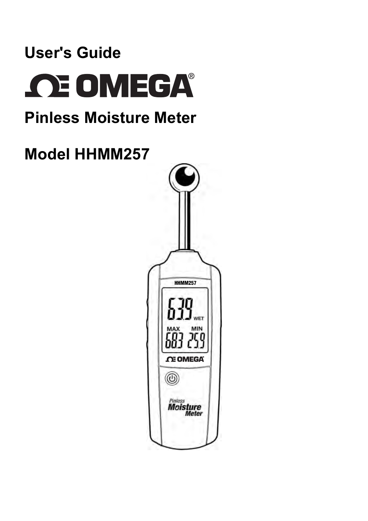# **User's Guide OE OMEGA®**

# **Pinless Moisture Meter**

# **Model HHMM257**

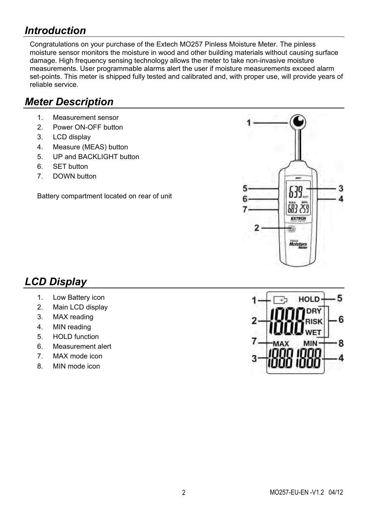### *Introduction*

Congratulations on your purchase of the Extech MO257 Pinless Moisture Meter. The pinless moisture sensor monitors the moisture in wood and other building materials without causing surface damage. High frequency sensing technology allows the meter to take non-invasive moisture measurements. User programmable alarms alert the user if moisture measurements exceed alarm set-points. This meter is shipped fully tested and calibrated and, with proper use, will provide years of reliable service.

### *Meter Description*

- 1. Measurement sensor
- 2. Power ON-OFF button
- 3. LCD display
- 4. Measure (MEAS) button
- 5 UP and BACKLIGHT button
- 6. SET button
- 7. DOWN button

Battery compartment located on rear of unit



### *LCD Display*

- 1. Low Battery icon
- 2. Main LCD display
- 3. MAX reading
- 4. MIN reading
- 5. HOLD function
- 6. Measurement alert
- 7. MAX mode icon
- 8. MIN mode icon

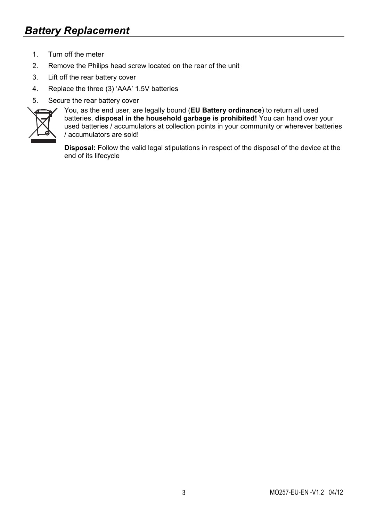- 1. Turn off the meter
- 2. Remove the Philips head screw located on the rear of the unit
- 3. Lift off the rear battery cover
- 4. Replace the three (3) 'AAA' 1.5V batteries
- 5. Secure the rear battery cover



You, as the end user, are legally bound (**EU Battery ordinance**) to return all used batteries, disposal in the household garbage is prohibited! You can hand over your used batteries / accumulators at collection points in your community or wherever batteries / accumulators are sold!

**Disposal:** Follow the valid legal stipulations in respect of the disposal of the device at the end of its lifecycle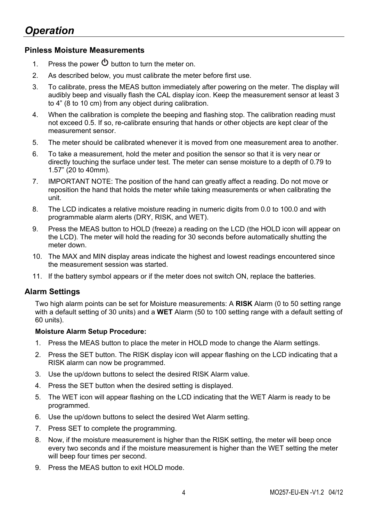#### **Pinless Moisture Measurements**

- 1. Press the power  $\Phi$  button to turn the meter on.
- 2. As described below, you must calibrate the meter before first use.
- 3. To calibrate, press the MEAS button immediately after powering on the meter. The display will audibly beep and visually flash the CAL display icon. Keep the measurement sensor at least 3 to 4" (8 to 10 cm) from any object during calibration.
- 4. When the calibration is complete the beeping and flashing stop. The calibration reading must not exceed 0.5. If so, re-calibrate ensuring that hands or other objects are kept clear of the measurement sensor.
- 5. The meter should be calibrated whenever it is moved from one measurement area to another.
- 6. To take a measurement, hold the meter and position the sensor so that it is very near or directly touching the surface under test. The meter can sense moisture to a depth of 0.79 to 1.57" (20 to 40mm).
- 7. IMPORTANT NOTE: The position of the hand can greatly affect a reading. Do not move or reposition the hand that holds the meter while taking measurements or when calibrating the unit.
- 8. The LCD indicates a relative moisture reading in numeric digits from 0.0 to 100.0 and with programmable alarm alerts (DRY, RISK, and WET).
- 9. Press the MEAS button to HOLD (freeze) a reading on the LCD (the HOLD icon will appear on the LCD). The meter will hold the reading for 30 seconds before automatically shutting the meter down.
- 10. The MAX and MIN display areas indicate the highest and lowest readings encountered since the measurement session was started.
- 11. If the battery symbol appears or if the meter does not switch ON, replace the batteries.

#### **Alarm Settings**

Two high alarm points can be set for Moisture measurements: A **RISK** Alarm (0 to 50 setting range with a default setting of 30 units) and a **WET** Alarm (50 to 100 setting range with a default setting of 60 units).

#### **Moisture Alarm Setup Procedure:**

- 1. Press the MEAS button to place the meter in HOLD mode to change the Alarm settings.
- 2. Press the SET button. The RISK display icon will appear flashing on the LCD indicating that a RISK alarm can now be programmed.
- 3. Use the up/down buttons to select the desired RISK Alarm value.
- 4. Press the SET button when the desired setting is displayed.
- 5. The WET icon will appear flashing on the LCD indicating that the WET Alarm is ready to be programmed.
- 6. Use the up/down buttons to select the desired Wet Alarm setting.
- 7. Press SET to complete the programming.
- 8. Now, if the moisture measurement is higher than the RISK setting, the meter will beep once every two seconds and if the moisture measurement is higher than the WET setting the meter will beep four times per second.
- 9. Press the MEAS button to exit HOLD mode.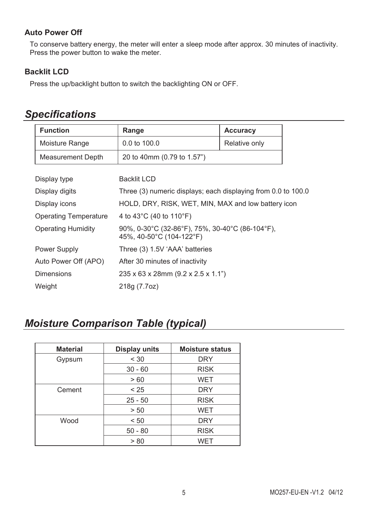#### **Auto Power Off**

To conserve battery energy, the meter will enter a sleep mode after approx. 30 minutes of inactivity. Press the power button to wake the meter.

#### **Backlit LCD**

Press the up/backlight button to switch the backlighting ON or OFF.

| <b>Function</b>              | Range                                                                                                                  | Accuracy      |  |
|------------------------------|------------------------------------------------------------------------------------------------------------------------|---------------|--|
| Moisture Range               | 0.0 to 100.0                                                                                                           | Relative only |  |
| <b>Measurement Depth</b>     | 20 to 40mm (0.79 to 1.57")                                                                                             |               |  |
|                              |                                                                                                                        |               |  |
| Display type                 | Backlit LCD                                                                                                            |               |  |
| Display digits               | Three (3) numeric displays; each displaying from 0.0 to 100.0                                                          |               |  |
| Display icons                | HOLD, DRY, RISK, WET, MIN, MAX and low battery icon                                                                    |               |  |
| <b>Operating Temperature</b> | 4 to 43 $^{\circ}$ C (40 to 110 $^{\circ}$ F)                                                                          |               |  |
| <b>Operating Humidity</b>    | 90%, $0-30^{\circ}$ C (32-86 $^{\circ}$ F), 75%, 30-40 $^{\circ}$ C (86-104 $^{\circ}$ F),<br>45%, 40-50°C (104-122°F) |               |  |
| Power Supply                 | Three (3) 1.5V 'AAA' batteries                                                                                         |               |  |
| Auto Power Off (APO)         | After 30 minutes of inactivity                                                                                         |               |  |
| Dimensions                   | 235 x 63 x 28mm (9.2 x 2.5 x 1.1")                                                                                     |               |  |
| Weight                       | 218g (7.7oz)                                                                                                           |               |  |

### *Specifications*

### *Moisture Comparison Table (typical)*

| <b>Material</b> | Display units | <b>Moisture status</b> |  |  |
|-----------------|---------------|------------------------|--|--|
| Gypsum          | < 30          | <b>DRY</b>             |  |  |
|                 | $30 - 60$     | <b>RISK</b>            |  |  |
|                 | >60           | <b>WET</b>             |  |  |
| Cement          | < 25          | <b>DRY</b>             |  |  |
|                 | $25 - 50$     | <b>RISK</b>            |  |  |
|                 | > 50          | WET                    |  |  |
| Wood            | < 50          | <b>DRY</b>             |  |  |
|                 | $50 - 80$     | <b>RISK</b>            |  |  |
|                 | > 80          | <b>WET</b>             |  |  |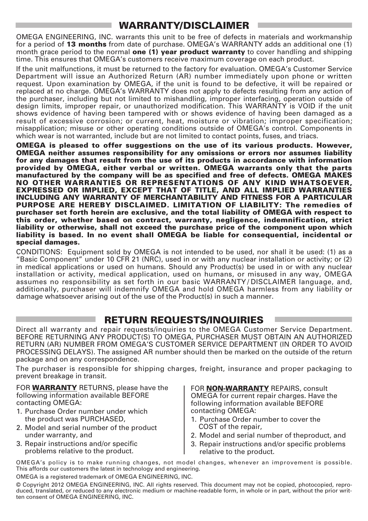#### **WARRANTY/DISCLAIMER**

OMEGA ENGINEERING, INC. warrants this unit to be free of defects in materials and workmanship for a period of **13 months** from date of purchase. OMEGA's WARRANTY adds an additional one (1) month grace period to the normal **one (1) year product warranty** to cover handling and shipping time. This ensures that OMEGA's customers receive maximum coverage on each product.

If the unit malfunctions, it must be returned to the factory for evaluation. OMEGA's Customer Service Department will issue an Authorized Return (AR) number immediately upon phone or written request. Upon examination by OMEGA, if the unit is found to be defective, it will be repaired or replaced at no charge. OMEGA's WARRANTY does not apply to defects resulting from any action of the purchaser, including but not limited to mishandling, improper interfacing, operation outside of design limits, improper repair, or unauthorized modification. This WARRANTY is VOID if the unit shows evidence of having been tampered with or shows evidence of having been damaged as a result of excessive corrosion; or current, heat, moisture or vibration; improper specification; misapplication; misuse or other operating conditions outside of OMEGA's control. Components in which wear is not warranted, include but are not limited to contact points, fuses, and triacs.

**OMEGA is pleased to offer suggestions on the use of its various products. However, OMEGA neither assumes responsibility for any omissions or errors nor assumes liability for any damages that result from the use of its products in accordance with information provided by OMEGA, either verbal or written. OMEGA warrants only that the parts manufactured by the company will be as specified and free of defects. OMEGA MAKES NO OTHER WARRANTIES OR REPRESENTATIONS OF ANY KIND WHATSOEVER, EXPRESSED OR IMPLIED, EXCEPT THAT OF TITLE, AND ALL IMPLIED WARRANTIES INCLUDING ANY WARRANTY OF MERCHANTABILITY AND FITNESS FOR A PARTICULAR PURPOSE ARE HEREBY DISCLAIMED. LIMITATION OF LIABILITY: The remedies of purchaser set forth herein are exclusive, and the total liability of OMEGA with respect to this order, whether based on contract, warranty, negligence, indemnification, strict liability or otherwise, shall not exceed the purchase price of the component upon which liability is based. In no event shall OMEGA be liable for consequential, incidental or special damages.**

CONDITIONS: Equipment sold by OMEGA is not intended to be used, nor shall it be used: (1) as a "Basic Component" under 10 CFR 21 (NRC), used in or with any nuclear installation or activity; or (2) in medical applications or used on humans. Should any Product(s) be used in or with any nuclear installation or activity, medical application, used on humans, or misused in any way, OMEGA assumes no responsibility as set forth in our basic WARRANTY / DISCLAIMER language, and, additionally, purchaser will indemnify OMEGA and hold OMEGA harmless from any liability or damage whatsoever arising out of the use of the Product(s) in such a manner.

#### **RETURN REQUESTS/INQUIRIES**

Direct all warranty and repair requests/inquiries to the OMEGA Customer Service Department. BEFORE RETURNING ANY PRODUCT(S) TO OMEGA, PURCHASER MUST OBTAIN AN AUTHORIZED RETURN (AR) NUMBER FROM OMEGA'S CUSTOMER SERVICE DEPARTMENT (IN ORDER TO AVOID PROCESSING DELAYS). The assigned AR number should then be marked on the outside of the return package and on any correspondence.

The purchaser is responsible for shipping charges, freight, insurance and proper packaging to prevent breakage in transit.

FOR **WARRANTY** RETURNS, please have the following information available BEFORE contacting OMEGA:

- 1. Purchase Order number under which the product was PURCHASED,
- 2. Model and serial number of the product under warranty, and
- 3. Repair instructions and/or specific problems relative to the product.

FOR **NON-WARRANTY** REPAIRS, consult OMEGA for current repair charges. Have the following information available BEFORE contacting OMEGA:

- 1. Purchase Order number to cover the COST of the repair,
- 2. Model and serial number of theproduct, and
- 3. Repair instructions and/or specific problems relative to the product.

OMEGA's policy is to make running changes, not model changes, whenever an improvement is possible. This affords our customers the latest in technology and engineering.

OMEGA is a registered trademark of OMEGA ENGINEERING, INC.

© Copyright 2012 OMEGA ENGINEERING, INC. All rights reserved. This document may not be copied, photocopied, reproduced, translated, or reduced to any electronic medium or machine-readable form, in whole or in part, without the prior written consent of OMEGA ENGINEERING, INC.